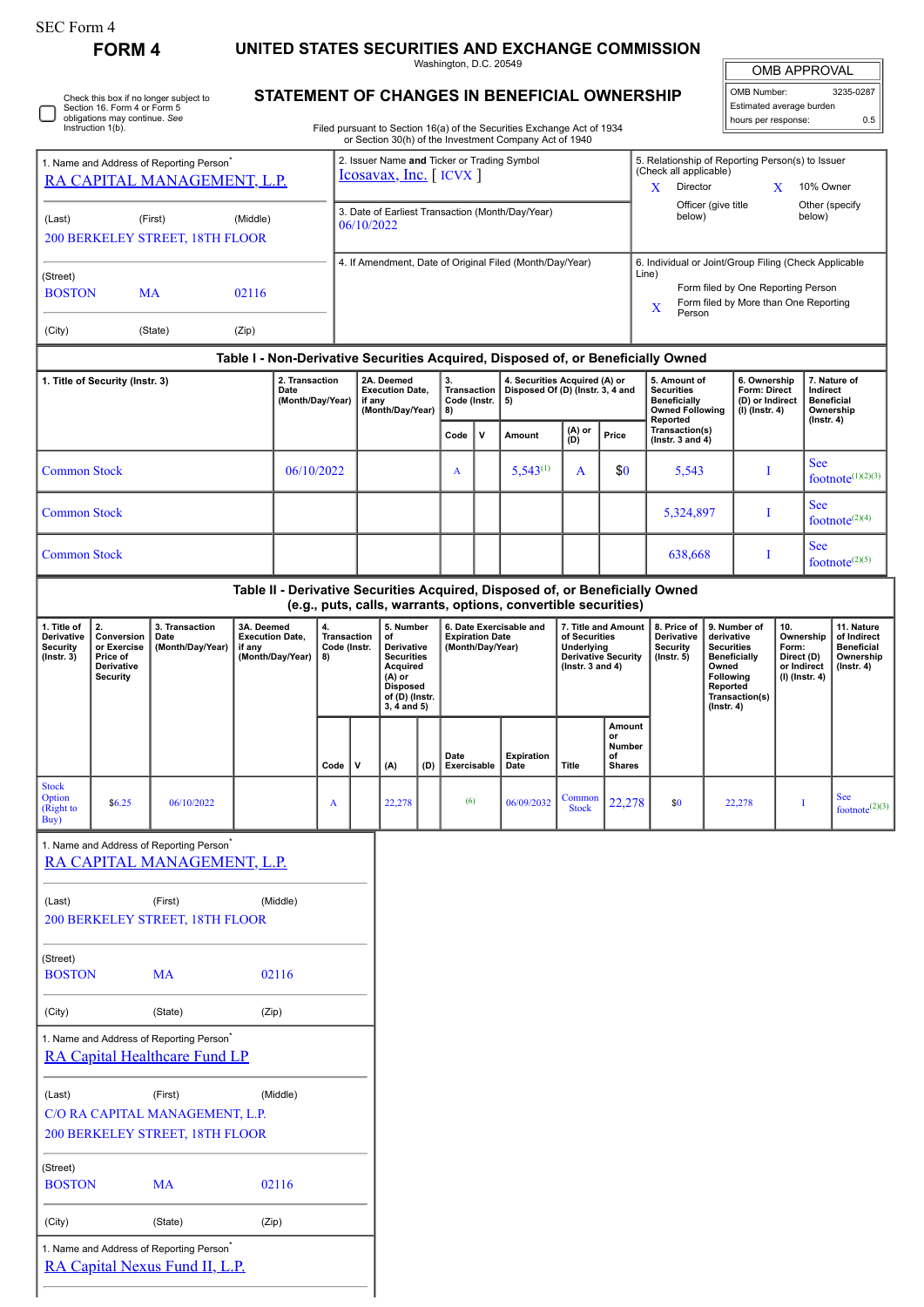|  | SEC Form 4 |  |
|--|------------|--|
|--|------------|--|

□

## **FORM 4 UNITED STATES SECURITIES AND EXCHANGE COMMISSION**

Washington, D.C. 20549

OMB APPROVAL

| OMB Number:              | 3235-0287 |
|--------------------------|-----------|
| Estimated average burden |           |
| hours per response:      | 0.5       |

Check this box if no longer subject to Section 16. Form 4 or Form 5 obligations may continue. *See* Instruction 1(b).

## **STATEMENT OF CHANGES IN BENEFICIAL OWNERSHIP**

Filed pursuant to Section 16(a) of the Securities Exchange Act of 1934 or Section 30(h) of the Investment Company Act of 1940

| 1. Name and Address of Reporting Person <sup>®</sup><br>RA CAPITAL MANAGEMENT, L.P. |                                                                               |                                                                                              |                                                |                  | 2. Issuer Name and Ticker or Trading Symbol<br>$Icosavax$ , Inc. [ICVX] |                                                                |                                                                                                                                |                                         |                                            |                                                                         |                                                                |                                                     | 5. Relationship of Reporting Person(s) to Issuer<br>(Check all applicable)<br>Director<br>X<br>10% Owner<br>X                                      |                                                                                  |                                                                   |        |                                                                                                                                                                                   |            |                                                                                 |  |  |
|-------------------------------------------------------------------------------------|-------------------------------------------------------------------------------|----------------------------------------------------------------------------------------------|------------------------------------------------|------------------|-------------------------------------------------------------------------|----------------------------------------------------------------|--------------------------------------------------------------------------------------------------------------------------------|-----------------------------------------|--------------------------------------------|-------------------------------------------------------------------------|----------------------------------------------------------------|-----------------------------------------------------|----------------------------------------------------------------------------------------------------------------------------------------------------|----------------------------------------------------------------------------------|-------------------------------------------------------------------|--------|-----------------------------------------------------------------------------------------------------------------------------------------------------------------------------------|------------|---------------------------------------------------------------------------------|--|--|
| (Last)<br>(First)<br>(Middle)<br>200 BERKELEY STREET, 18TH FLOOR                    |                                                                               |                                                                                              |                                                |                  |                                                                         | 3. Date of Earliest Transaction (Month/Day/Year)<br>06/10/2022 |                                                                                                                                |                                         |                                            |                                                                         |                                                                |                                                     | Other (specify<br>Officer (give title<br>below)<br>below)                                                                                          |                                                                                  |                                                                   |        |                                                                                                                                                                                   |            |                                                                                 |  |  |
| (Street)<br><b>BOSTON</b><br><b>MA</b><br>02116                                     |                                                                               |                                                                                              |                                                |                  | 4. If Amendment, Date of Original Filed (Month/Day/Year)                |                                                                |                                                                                                                                |                                         |                                            |                                                                         |                                                                |                                                     | 6. Individual or Joint/Group Filing (Check Applicable<br>Line)<br>Form filed by One Reporting Person<br>Form filed by More than One Reporting<br>X |                                                                                  |                                                                   |        |                                                                                                                                                                                   |            |                                                                                 |  |  |
| (City)<br>(State)<br>(Zip)                                                          |                                                                               |                                                                                              |                                                |                  |                                                                         |                                                                |                                                                                                                                |                                         |                                            |                                                                         |                                                                |                                                     |                                                                                                                                                    | Person                                                                           |                                                                   |        |                                                                                                                                                                                   |            |                                                                                 |  |  |
|                                                                                     |                                                                               |                                                                                              |                                                |                  |                                                                         |                                                                |                                                                                                                                |                                         |                                            |                                                                         |                                                                |                                                     |                                                                                                                                                    | Table I - Non-Derivative Securities Acquired, Disposed of, or Beneficially Owned |                                                                   |        |                                                                                                                                                                                   |            |                                                                                 |  |  |
|                                                                                     | 2. Transaction<br>1. Title of Security (Instr. 3)<br>Date<br>(Month/Day/Year) |                                                                                              |                                                |                  | 2A. Deemed<br><b>Execution Date,</b><br>if any<br>(Month/Day/Year)      |                                                                |                                                                                                                                | 3.<br>Transaction<br>Code (Instr.<br>8) |                                            | 4. Securities Acquired (A) or<br>Disposed Of (D) (Instr. 3, 4 and<br>5) |                                                                |                                                     | 5. Amount of<br><b>Securities</b><br>Beneficially<br><b>Owned Following</b><br>Reported                                                            |                                                                                  | 6. Ownership<br>Form: Direct<br>(D) or Indirect<br>(I) (Instr. 4) |        | 7. Nature of<br>Indirect<br><b>Beneficial</b><br>Ownership<br>$($ lnstr. 4 $)$                                                                                                    |            |                                                                                 |  |  |
|                                                                                     |                                                                               |                                                                                              |                                                |                  |                                                                         |                                                                |                                                                                                                                |                                         | v<br>Code                                  |                                                                         | $(A)$ or<br>$(D)$<br>Amount                                    |                                                     | Price                                                                                                                                              | Transaction(s)<br>( $lnstr. 3 and 4$ )                                           |                                                                   |        |                                                                                                                                                                                   |            |                                                                                 |  |  |
| <b>Common Stock</b>                                                                 |                                                                               |                                                                                              |                                                | 06/10/2022       |                                                                         |                                                                |                                                                                                                                |                                         | $\mathbf{A}$                               |                                                                         | $5,543^{(1)}$                                                  | A                                                   | \$0                                                                                                                                                | 5,543                                                                            |                                                                   | Ι      |                                                                                                                                                                                   | <b>See</b> | footnote $(1)(2)(3)$                                                            |  |  |
| <b>Common Stock</b>                                                                 |                                                                               |                                                                                              |                                                |                  |                                                                         |                                                                |                                                                                                                                |                                         |                                            |                                                                         |                                                                |                                                     |                                                                                                                                                    | 5,324,897                                                                        |                                                                   | Ι      |                                                                                                                                                                                   | <b>See</b> | footnote <sup><math>(2)(4)</math></sup>                                         |  |  |
| <b>Common Stock</b>                                                                 |                                                                               |                                                                                              |                                                |                  |                                                                         |                                                                |                                                                                                                                |                                         |                                            |                                                                         |                                                                |                                                     |                                                                                                                                                    | 638,668                                                                          | Ι                                                                 |        | <b>See</b><br>footnote $(2)(5)$                                                                                                                                                   |            |                                                                                 |  |  |
|                                                                                     |                                                                               |                                                                                              |                                                |                  |                                                                         |                                                                |                                                                                                                                |                                         |                                            |                                                                         | (e.g., puts, calls, warrants, options, convertible securities) |                                                     |                                                                                                                                                    | Table II - Derivative Securities Acquired, Disposed of, or Beneficially Owned    |                                                                   |        |                                                                                                                                                                                   |            |                                                                                 |  |  |
| 1. Title of<br>Derivative<br><b>Security</b><br>$($ Instr. 3 $)$                    | 2.<br>Conversion<br>or Exercise<br>Price of<br>Derivative<br><b>Security</b>  | 3. Transaction<br>Date<br>(Month/Day/Year)                                                   | 3A. Deemed<br><b>Execution Date,</b><br>if any | (Month/Day/Year) | 4.<br>Transaction<br>Code (Instr.<br>8)                                 |                                                                | 5. Number<br>of<br>Derivative<br><b>Securities</b><br>Acquired<br>$(A)$ or<br><b>Disposed</b><br>of (D) (Instr.<br>3, 4 and 5) |                                         | <b>Expiration Date</b><br>(Month/Day/Year) |                                                                         | 6. Date Exercisable and                                        | of Securities<br>Underlying<br>( $lnstr. 3 and 4$ ) | 7. Title and Amount<br><b>Derivative Security</b>                                                                                                  | 8. Price of<br>Derivative<br>Security<br>$($ Instr. 5 $)$                        | Owned<br>Reported<br>$($ Instr. 4 $)$                             |        | 9. Number of<br>10.<br>derivative<br>Ownership<br><b>Securities</b><br>Form:<br>Direct (D)<br><b>Beneficially</b><br>or Indirect<br>Following<br>(I) (Instr. 4)<br>Transaction(s) |            | 11. Nature<br>of Indirect<br><b>Beneficial</b><br>Ownership<br>$($ Instr. 4 $)$ |  |  |
|                                                                                     |                                                                               |                                                                                              |                                                |                  | Code                                                                    | $\mathsf{v}$                                                   | (A)                                                                                                                            | (D)                                     | Date<br>Exercisable                        |                                                                         | <b>Expiration</b><br>Date                                      | Title                                               | Amount<br>or<br>Number<br>οf<br><b>Shares</b>                                                                                                      |                                                                                  |                                                                   |        |                                                                                                                                                                                   |            |                                                                                 |  |  |
| <b>Stock</b><br>Option<br>(Right to<br>Buy)                                         | \$6.25                                                                        | 06/10/2022                                                                                   |                                                |                  | A                                                                       |                                                                | 22,278                                                                                                                         |                                         | (6)                                        |                                                                         | 06/09/2032                                                     | Common<br><b>Stock</b>                              | 22,278                                                                                                                                             | \$0                                                                              |                                                                   | 22,278 | 1                                                                                                                                                                                 |            | <b>See</b><br>footnote $^{(2)(3)}$                                              |  |  |
|                                                                                     |                                                                               | 1. Name and Address of Reporting Person <sup>*</sup><br>RA CAPITAL MANAGEMENT, L.P.          |                                                |                  |                                                                         |                                                                |                                                                                                                                |                                         |                                            |                                                                         |                                                                |                                                     |                                                                                                                                                    |                                                                                  |                                                                   |        |                                                                                                                                                                                   |            |                                                                                 |  |  |
| (Last)                                                                              |                                                                               | (First)                                                                                      |                                                | (Middle)         |                                                                         |                                                                |                                                                                                                                |                                         |                                            |                                                                         |                                                                |                                                     |                                                                                                                                                    |                                                                                  |                                                                   |        |                                                                                                                                                                                   |            |                                                                                 |  |  |
|                                                                                     |                                                                               | 200 BERKELEY STREET, 18TH FLOOR                                                              |                                                |                  |                                                                         |                                                                |                                                                                                                                |                                         |                                            |                                                                         |                                                                |                                                     |                                                                                                                                                    |                                                                                  |                                                                   |        |                                                                                                                                                                                   |            |                                                                                 |  |  |
| (Street)<br><b>BOSTON</b>                                                           |                                                                               | MA                                                                                           |                                                | 02116            |                                                                         |                                                                |                                                                                                                                |                                         |                                            |                                                                         |                                                                |                                                     |                                                                                                                                                    |                                                                                  |                                                                   |        |                                                                                                                                                                                   |            |                                                                                 |  |  |
| (City)                                                                              |                                                                               | (State)                                                                                      | (Zip)                                          |                  |                                                                         |                                                                |                                                                                                                                |                                         |                                            |                                                                         |                                                                |                                                     |                                                                                                                                                    |                                                                                  |                                                                   |        |                                                                                                                                                                                   |            |                                                                                 |  |  |
|                                                                                     |                                                                               | 1. Name and Address of Reporting Person <sup>*</sup><br><b>RA Capital Healthcare Fund LP</b> |                                                |                  |                                                                         |                                                                |                                                                                                                                |                                         |                                            |                                                                         |                                                                |                                                     |                                                                                                                                                    |                                                                                  |                                                                   |        |                                                                                                                                                                                   |            |                                                                                 |  |  |
| (Last)                                                                              |                                                                               | (First)<br>C/O RA CAPITAL MANAGEMENT, L.P.<br>200 BERKELEY STREET, 18TH FLOOR                |                                                | (Middle)         |                                                                         |                                                                |                                                                                                                                |                                         |                                            |                                                                         |                                                                |                                                     |                                                                                                                                                    |                                                                                  |                                                                   |        |                                                                                                                                                                                   |            |                                                                                 |  |  |
| (Street)<br><b>BOSTON</b>                                                           |                                                                               | <b>MA</b>                                                                                    |                                                | 02116            |                                                                         |                                                                |                                                                                                                                |                                         |                                            |                                                                         |                                                                |                                                     |                                                                                                                                                    |                                                                                  |                                                                   |        |                                                                                                                                                                                   |            |                                                                                 |  |  |
| (City)                                                                              |                                                                               | (State)                                                                                      | (Zip)                                          |                  |                                                                         |                                                                |                                                                                                                                |                                         |                                            |                                                                         |                                                                |                                                     |                                                                                                                                                    |                                                                                  |                                                                   |        |                                                                                                                                                                                   |            |                                                                                 |  |  |
|                                                                                     |                                                                               | 1. Name and Address of Reporting Person <sup>*</sup><br>RA Capital Nexus Fund II, L.P.       |                                                |                  |                                                                         |                                                                |                                                                                                                                |                                         |                                            |                                                                         |                                                                |                                                     |                                                                                                                                                    |                                                                                  |                                                                   |        |                                                                                                                                                                                   |            |                                                                                 |  |  |